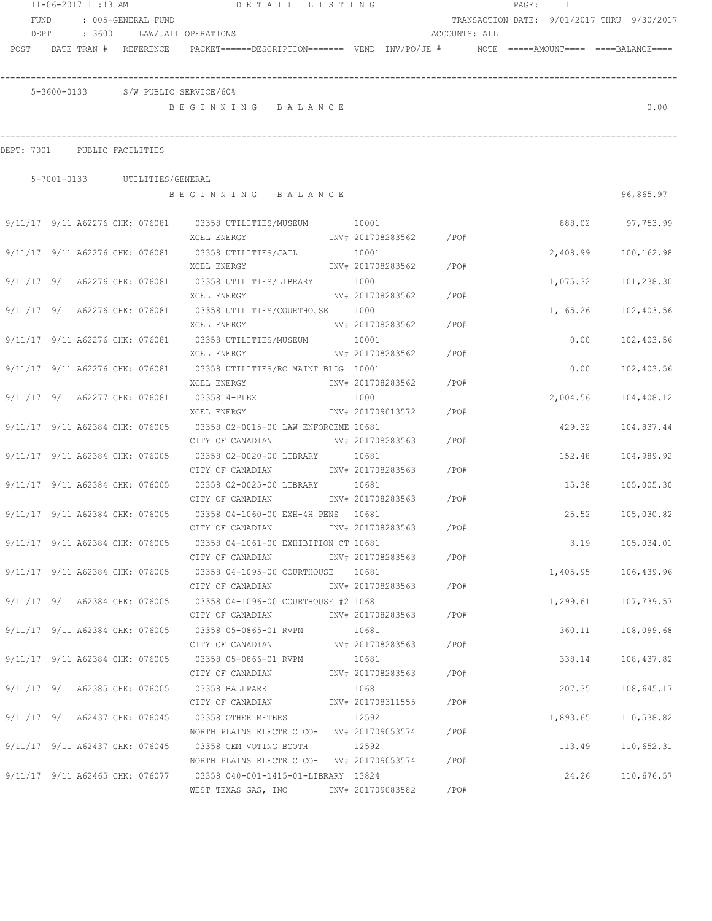|                              | 11-06-2017 11:13 AM |                                 | DETAIL LISTING                                                                                            |                   |                        |               | PAGE: 1 |                                            |                     |
|------------------------------|---------------------|---------------------------------|-----------------------------------------------------------------------------------------------------------|-------------------|------------------------|---------------|---------|--------------------------------------------|---------------------|
| FUND                         |                     | : 005-GENERAL FUND              |                                                                                                           |                   |                        |               |         | TRANSACTION DATE: 9/01/2017 THRU 9/30/2017 |                     |
| DEPT                         |                     |                                 | : 3600 LAW/JAIL OPERATIONS                                                                                |                   |                        | ACCOUNTS: ALL |         |                                            |                     |
|                              |                     | POST DATE TRAN # REFERENCE      | PACKET======DESCRIPTION======= VEND INV/PO/JE #    NOTE =====AMOUNT==== ====BALANCE====                   |                   |                        |               |         |                                            |                     |
|                              |                     |                                 | 5-3600-0133 S/W PUBLIC SERVICE/60%                                                                        |                   |                        |               |         |                                            |                     |
|                              |                     |                                 | BEGINNING BALANCE                                                                                         |                   |                        |               |         |                                            | 0.00                |
| DEPT: 7001 PUBLIC FACILITIES |                     |                                 |                                                                                                           |                   |                        |               |         |                                            |                     |
|                              |                     | 5-7001-0133 UTILITIES/GENERAL   |                                                                                                           |                   |                        |               |         |                                            |                     |
|                              |                     |                                 | BEGINNING BALANCE                                                                                         |                   |                        |               |         |                                            | 96,865.97           |
|                              |                     |                                 | 9/11/17 9/11 A62276 CHK: 076081 03358 UTILITIES/MUSEUM 10001                                              |                   |                        |               |         |                                            | 888.02 97,753.99    |
|                              |                     |                                 | XCEL ENERGY                           INV# 201708283562         /PO#                                      |                   |                        |               |         |                                            |                     |
|                              |                     |                                 | $9/11/17$ $9/11$ A62276 CHK: 076081 03358 UTILITIES/JAIL 10001                                            |                   |                        |               |         | 2,408.99                                   | 100,162.98          |
|                              |                     |                                 | XCEL ENERGY                                                                                               |                   | INV# 201708283562 /PO# |               |         |                                            |                     |
|                              |                     |                                 |                                                                                                           |                   |                        |               |         |                                            | 1,075.32 101,238.30 |
|                              |                     |                                 | XCEL ENERGY                                                                                               |                   | INV# 201708283562 /PO# |               |         |                                            |                     |
|                              |                     |                                 | 9/11/17 9/11 A62276 CHK: 076081 03358 UTILITIES/COURTHOUSE 10001                                          |                   |                        |               |         | 1,165.26                                   | 102,403.56          |
|                              |                     |                                 | XCEL ENERGY                                                                                               |                   | INV# 201708283562 /PO# |               |         |                                            |                     |
|                              |                     |                                 | 9/11/17 9/11 A62276 CHK: 076081 03358 UTILITIES/MUSEUM 10001                                              |                   |                        |               |         | 0.00                                       | 102,403.56          |
|                              |                     |                                 | XCEL ENERGY                                                                                               |                   | INV# 201708283562      | $/$ PO#       |         |                                            |                     |
|                              |                     | 9/11/17 9/11 A62276 CHK: 076081 | 03358 UTILITIES/RC MAINT BLDG 10001                                                                       |                   |                        |               |         | 0.00                                       | 102,403.56          |
|                              |                     |                                 | XCEL ENERGY                                                                                               | INV# 201708283562 |                        | /PO#          |         |                                            |                     |
|                              |                     | 9/11/17 9/11 A62277 CHK: 076081 | 03358 4-PLEX                                                                                              | 10001             |                        |               |         | 2,004.56                                   | 104,408.12          |
|                              |                     |                                 | XCEL ENERGY                                                                                               | INV# 201709013572 |                        | /PO#          |         |                                            |                     |
|                              |                     | 9/11/17 9/11 A62384 CHK: 076005 | 03358 02-0015-00 LAW ENFORCEME 10681                                                                      |                   |                        |               |         | 429.32                                     | 104,837.44          |
|                              |                     |                                 | CITY OF CANADIAN                                                                                          | INV# 201708283563 |                        | / PO#         |         |                                            |                     |
|                              |                     | 9/11/17 9/11 A62384 CHK: 076005 | 03358 02-0020-00 LIBRARY                                                                                  | 10681             |                        |               |         | 152.48                                     | 104,989.92          |
|                              |                     |                                 | CITY OF CANADIAN                                                                                          |                   | INV# 201708283563 /PO# |               |         |                                            |                     |
|                              |                     |                                 |                                                                                                           |                   |                        |               |         |                                            |                     |
|                              |                     |                                 | 9/11/17 9/11 A62384 CHK: 076005 03358 02-0025-00 LIBRARY 10681<br>CITY OF CANADIAN MW# 201708283563 / PO# |                   |                        |               |         | 15.38                                      | 105,005.30          |
|                              |                     |                                 |                                                                                                           |                   |                        |               |         |                                            |                     |
|                              |                     |                                 | 9/11/17 9/11 A62384 CHK: 076005 03358 04-1060-00 EXH-4H PENS 10681                                        |                   |                        |               |         | 25.52                                      | 105,030.82          |
|                              |                     |                                 | CITY OF CANADIAN                                                                                          |                   | INV# 201708283563      | /PO#          |         |                                            |                     |
|                              |                     |                                 | 9/11/17 9/11 A62384 CHK: 076005 03358 04-1061-00 EXHIBITION CT 10681                                      |                   |                        |               |         |                                            | 3.19 105,034.01     |
|                              |                     |                                 | CITY OF CANADIAN                                                                                          |                   | INV# 201708283563 /PO# |               |         |                                            |                     |
|                              |                     |                                 | 9/11/17 9/11 A62384 CHK: 076005 03358 04-1095-00 COURTHOUSE 10681                                         |                   |                        |               |         |                                            | 1,405.95 106,439.96 |
|                              |                     |                                 | CITY OF CANADIAN                                                                                          |                   | INV# 201708283563 /PO# |               |         |                                            |                     |
|                              |                     |                                 | 9/11/17 9/11 A62384 CHK: 076005 03358 04-1096-00 COURTHOUSE #2 10681                                      |                   |                        |               |         | 1,299.61 107,739.57                        |                     |
|                              |                     |                                 | CITY OF CANADIAN                                                                                          |                   | INV# 201708283563 /PO# |               |         |                                            |                     |
|                              |                     |                                 | $9/11/17$ $9/11$ A62384 CHK: 076005 03358 05-0865-01 RVPM                                                 | 10681             |                        |               |         |                                            | 360.11 108,099.68   |
|                              |                     |                                 | CITY OF CANADIAN                                                                                          |                   | INV# 201708283563 /PO# |               |         |                                            |                     |
|                              |                     |                                 | $9/11/17$ 9/11 A62384 CHK: 076005 03358 05-0866-01 RVPM                                                   | 10681             |                        |               |         |                                            | 338.14 108,437.82   |
|                              |                     |                                 | CITY OF CANADIAN                                                                                          |                   | INV# 201708283563 /PO# |               |         |                                            |                     |
|                              |                     | 9/11/17 9/11 A62385 CHK: 076005 | 03358 BALLPARK                                                                                            | 10681             |                        |               |         | 207.35                                     | 108,645.17          |
|                              |                     |                                 | CITY OF CANADIAN                                                                                          |                   | INV# 201708311555 /PO# |               |         |                                            |                     |
|                              |                     | 9/11/17 9/11 A62437 CHK: 076045 | 03358 OTHER METERS                                                                                        | 12592             |                        |               |         | 1,893.65                                   | 110,538.82          |
|                              |                     |                                 | NORTH PLAINS ELECTRIC CO- INV# 201709053574                                                               |                   |                        | /PO#          |         |                                            |                     |
|                              |                     |                                 | 9/11/17 9/11 A62437 CHK: 076045 03358 GEM VOTING BOOTH                                                    | 12592             |                        |               |         | 113.49                                     | 110,652.31          |
|                              |                     |                                 | NORTH PLAINS ELECTRIC CO- INV# 201709053574                                                               |                   |                        | /PO#          |         |                                            |                     |
|                              |                     |                                 | 9/11/17 9/11 A62465 CHK: 076077 03358 040-001-1415-01-LIBRARY 13824                                       |                   |                        |               |         | 24.26                                      | 110,676.57          |
|                              |                     |                                 | WEST TEXAS GAS, INC METALL 201709083582                                                                   |                   |                        | /PO#          |         |                                            |                     |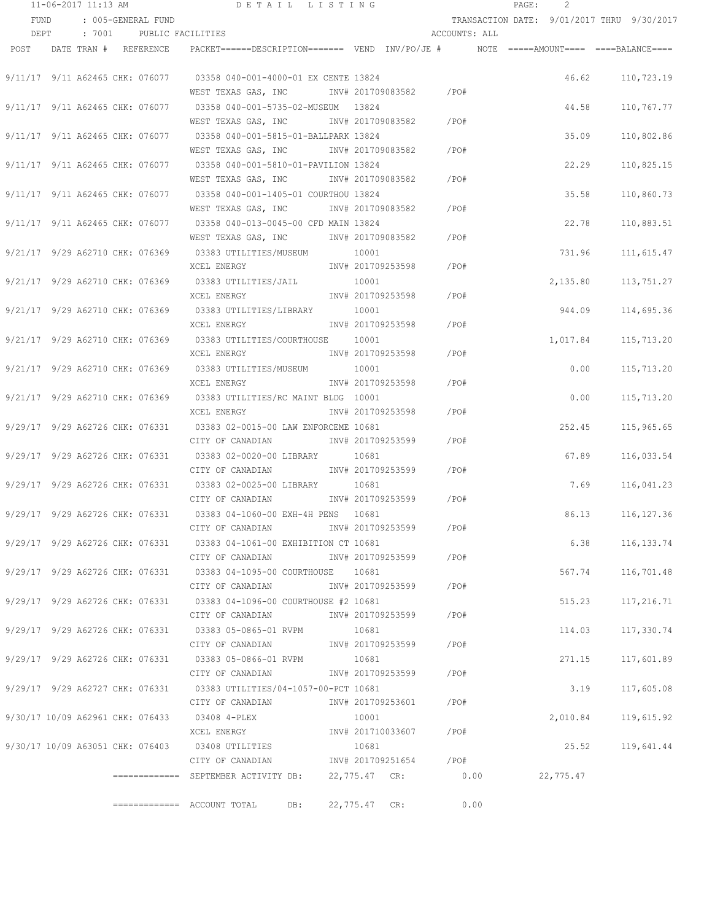| 11-06-2017 11:13 AM |                                  | DETAIL LISTING                                                                                   |               |                        |               | PAGE: | 2         |                                            |
|---------------------|----------------------------------|--------------------------------------------------------------------------------------------------|---------------|------------------------|---------------|-------|-----------|--------------------------------------------|
| FUND                | : 005-GENERAL FUND               |                                                                                                  |               |                        |               |       |           | TRANSACTION DATE: 9/01/2017 THRU 9/30/2017 |
| DEPT                | : 7001 PUBLIC FACILITIES         |                                                                                                  |               |                        | ACCOUNTS: ALL |       |           |                                            |
|                     | POST DATE TRAN # REFERENCE       | $\verb PACKET====-DESCRIPTION=====  VEND   INV/PO/JE  #   NOTE   == ==+AMOUNT===  ==-BALANCE===$ |               |                        |               |       |           |                                            |
|                     | 9/11/17 9/11 A62465 CHK: 076077  | 03358 040-001-4000-01 EX CENTE 13824                                                             |               |                        |               |       | 46.62     | 110,723.19                                 |
|                     |                                  | WEST TEXAS GAS, INC                                                                              |               | INV# 201709083582 /PO# |               |       |           |                                            |
|                     |                                  |                                                                                                  |               |                        |               |       |           |                                            |
|                     | 9/11/17 9/11 A62465 CHK: 076077  |                                                                                                  |               |                        |               |       | 44.58     | 110,767.77                                 |
|                     |                                  | WEST TEXAS GAS, INC                                                                              |               | INV# 201709083582      | $/$ PO#       |       |           |                                            |
|                     | 9/11/17 9/11 A62465 CHK: 076077  | 03358 040-001-5815-01-BALLPARK 13824                                                             |               |                        |               |       | 35.09     | 110,802.86                                 |
|                     |                                  | WEST TEXAS GAS, INC                                                                              |               | INV# 201709083582      | /PO#          |       |           |                                            |
|                     | 9/11/17 9/11 A62465 CHK: 076077  | 03358 040-001-5810-01-PAVILION 13824                                                             |               |                        |               |       | 22.29     | 110,825.15                                 |
|                     |                                  | WEST TEXAS GAS, INC                                                                              |               | INV# 201709083582      | /PO#          |       |           |                                            |
|                     | 9/11/17 9/11 A62465 CHK: 076077  | 03358 040-001-1405-01 COURTHOU 13824                                                             |               |                        |               |       | 35.58     | 110,860.73                                 |
|                     |                                  | WEST TEXAS GAS, INC METALL 201709083582                                                          |               |                        | /PO#          |       |           |                                            |
|                     | 9/11/17 9/11 A62465 CHK: 076077  | 03358 040-013-0045-00 CFD MAIN 13824                                                             |               |                        |               |       | 22.78     | 110,883.51                                 |
|                     |                                  | WEST TEXAS GAS, INC MONTH 201709083582                                                           |               |                        | /PO#          |       |           |                                            |
|                     |                                  | 9/21/17 9/29 A62710 CHK: 076369 03383 UTILITIES/MUSEUM                                           | 10001         |                        |               |       | 731.96    | 111,615.47                                 |
|                     |                                  | XCEL ENERGY                                                                                      |               | INV# 201709253598      | $/$ PO#       |       |           |                                            |
|                     |                                  | 9/21/17 9/29 A62710 CHK: 076369 03383 UTILITIES/JAIL                                             | 10001         |                        |               |       | 2,135.80  | 113,751.27                                 |
|                     |                                  | XCEL ENERGY                                                                                      |               | INV# 201709253598 /PO# |               |       |           |                                            |
|                     |                                  | 9/21/17 9/29 A62710 CHK: 076369 03383 UTILITIES/LIBRARY                                          | 10001         |                        |               |       | 944.09    | 114,695.36                                 |
|                     |                                  | XCEL ENERGY                                                                                      |               | INV# 201709253598      | /PO#          |       |           |                                            |
|                     | 9/21/17 9/29 A62710 CHK: 076369  | 03383 UTILITIES/COURTHOUSE 10001                                                                 |               |                        |               |       | 1,017.84  | 115,713.20                                 |
|                     |                                  | XCEL ENERGY                                                                                      |               | INV# 201709253598      | /PO#          |       |           |                                            |
|                     | 9/21/17 9/29 A62710 CHK: 076369  | 03383 UTILITIES/MUSEUM                                                                           | 10001         |                        |               |       | 0.00      | 115,713.20                                 |
|                     |                                  | XCEL ENERGY                                                                                      |               | INV# 201709253598      | /PO#          |       |           |                                            |
|                     | 9/21/17 9/29 A62710 CHK: 076369  | 03383 UTILITIES/RC MAINT BLDG 10001                                                              |               |                        |               |       | 0.00      | 115,713.20                                 |
|                     |                                  | XCEL ENERGY                                                                                      |               | INV# 201709253598      | /PO#          |       |           |                                            |
|                     | 9/29/17 9/29 A62726 CHK: 076331  | 03383 02-0015-00 LAW ENFORCEME 10681                                                             |               |                        |               |       | 252.45    | 115,965.65                                 |
|                     |                                  | CITY OF CANADIAN                                                                                 |               | INV# 201709253599      | /PO#          |       |           |                                            |
|                     | 9/29/17 9/29 A62726 CHK: 076331  | 03383 02-0020-00 LIBRARY                                                                         | 10681         |                        |               |       | 67.89     | 116,033.54                                 |
|                     |                                  | CITY OF CANADIAN                                                                                 |               | INV# 201709253599      | /PO#          |       |           |                                            |
|                     | 9/29/17 9/29 A62726 CHK: 076331  | 03383 02-0025-00 LIBRARY                                                                         | 10681         |                        |               |       | 7.69      | 116,041.23                                 |
|                     |                                  | CITY OF CANADIAN                                                                                 |               | INV# 201709253599      | /PO#          |       |           |                                            |
|                     |                                  | 9/29/17 9/29 A62726 CHK: 076331 03383 04-1060-00 EXH-4H PENS 10681                               |               |                        |               |       | 86.13     | 116, 127.36                                |
|                     |                                  | CITY OF CANADIAN                                                                                 |               | INV# 201709253599      | /PO#          |       |           |                                            |
|                     |                                  | 9/29/17 9/29 A62726 CHK: 076331 03383 04-1061-00 EXHIBITION CT 10681                             |               |                        |               |       | 6.38      | 116,133.74                                 |
|                     |                                  | CITY OF CANADIAN                                                                                 |               | INV# 201709253599      | / PO#         |       |           |                                            |
|                     |                                  | 9/29/17 9/29 A62726 CHK: 076331 03383 04-1095-00 COURTHOUSE 10681                                |               |                        |               |       | 567.74    | 116,701.48                                 |
|                     |                                  | CITY OF CANADIAN                                                                                 |               | INV# 201709253599      | /PO#          |       |           |                                            |
|                     |                                  | 9/29/17 9/29 A62726 CHK: 076331 03383 04-1096-00 COURTHOUSE #2 10681                             |               |                        |               |       | 515.23    | 117,216.71                                 |
|                     |                                  | CITY OF CANADIAN                                                                                 |               | INV# 201709253599      | /PO#          |       |           |                                            |
|                     |                                  | 9/29/17 9/29 A62726 CHK: 076331 03383 05-0865-01 RVPM                                            | 10681         |                        |               |       | 114.03    | 117,330.74                                 |
|                     |                                  | CITY OF CANADIAN                                                                                 |               | INV# 201709253599      | /PO#          |       |           |                                            |
|                     |                                  | 9/29/17 9/29 A62726 CHK: 076331 03383 05-0866-01 RVPM                                            | 10681         |                        |               |       | 271.15    | 117,601.89                                 |
|                     |                                  | CITY OF CANADIAN                                                                                 |               | INV# 201709253599      | /PO#          |       |           |                                            |
|                     |                                  | 9/29/17 9/29 A62727 CHK: 076331 03383 UTILITIES/04-1057-00-PCT 10681                             |               |                        |               |       | 3.19      | 117,605.08                                 |
|                     |                                  | CITY OF CANADIAN                                                                                 |               | INV# 201709253601      | /PO#          |       |           |                                            |
|                     | 9/30/17 10/09 A62961 CHK: 076433 | 03408 4-PLEX                                                                                     | 10001         |                        |               |       | 2,010.84  | 119,615.92                                 |
|                     |                                  | XCEL ENERGY                                                                                      |               | INV# 201710033607      | /PO#          |       |           |                                            |
|                     | 9/30/17 10/09 A63051 CHK: 076403 | 03408 UTILITIES                                                                                  | 10681         |                        |               |       | 25.52     | 119,641.44                                 |
|                     |                                  | CITY OF CANADIAN                                                                                 |               | INV# 201709251654      | $/$ PO#       |       |           |                                            |
|                     |                                  | ============= SEPTEMBER ACTIVITY DB:                                                             |               | 22,775.47 CR: 0.00     |               |       | 22,775.47 |                                            |
|                     |                                  |                                                                                                  |               |                        |               |       |           |                                            |
|                     |                                  | ============= ACCOUNT TOTAL<br>DB:                                                               | 22,775.47 CR: |                        |               | 0.00  |           |                                            |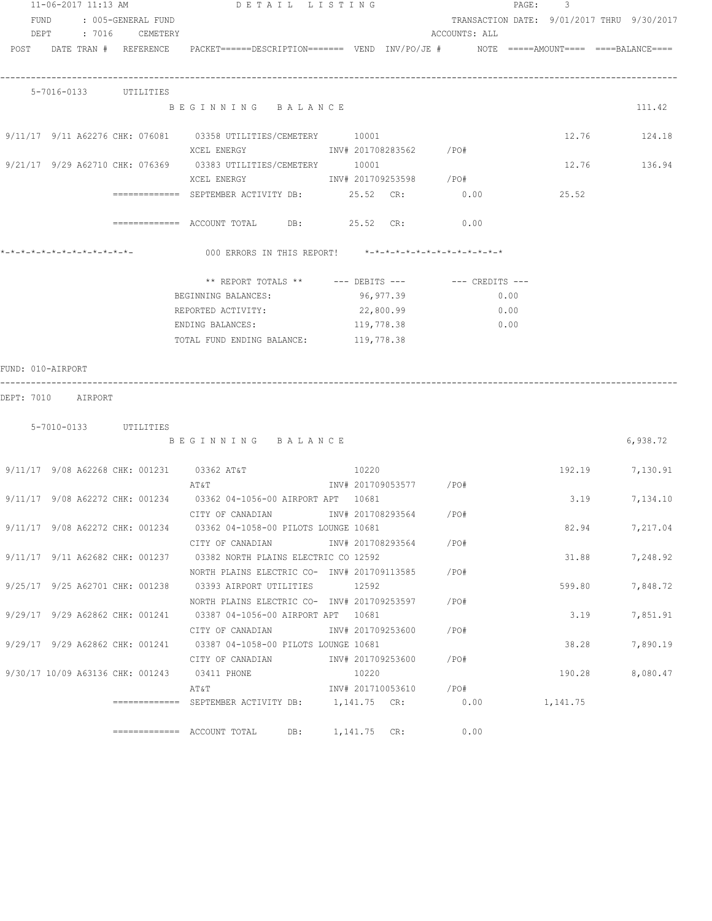|                    |  | 11-06-2017 11:13 AM        | DETAIL LISTING                                                                                                  |                        |                 | PAGE: 3 |        |                                            |
|--------------------|--|----------------------------|-----------------------------------------------------------------------------------------------------------------|------------------------|-----------------|---------|--------|--------------------------------------------|
|                    |  | FUND : 005-GENERAL FUND    |                                                                                                                 |                        |                 |         |        | TRANSACTION DATE: 9/01/2017 THRU 9/30/2017 |
|                    |  | DEPT : 7016 CEMETERY       |                                                                                                                 |                        | ACCOUNTS: ALL   |         |        |                                            |
|                    |  |                            | POST DATE TRAN # REFERENCE PACKET======DESCRIPTION======= VEND INV/PO/JE # NOTE =====AMOUNT==== ====BALANCE==== |                        |                 |         |        |                                            |
|                    |  |                            |                                                                                                                 |                        |                 |         |        |                                            |
|                    |  |                            |                                                                                                                 |                        |                 |         |        |                                            |
|                    |  | 5-7016-0133 UTILITIES      |                                                                                                                 |                        |                 |         |        |                                            |
|                    |  |                            | BEGINNING BALANCE                                                                                               |                        |                 |         |        | 111.42                                     |
|                    |  |                            |                                                                                                                 |                        |                 |         |        |                                            |
|                    |  |                            | $9/11/17$ $9/11$ A62276 CHK: 076081 03358 UTILITIES/CEMETERY 10001                                              |                        |                 |         |        | 12.76 124.18                               |
|                    |  |                            | XCEL ENERGY 67 1NV# 201708283562 / PO#                                                                          |                        |                 |         |        |                                            |
|                    |  |                            | 9/21/17 9/29 A62710 CHK: 076369 03383 UTILITIES/CEMETERY 10001                                                  |                        |                 |         |        | 12.76 136.94                               |
|                    |  |                            | XCEL ENERGY 600 1NV# 201709253598 / PO#                                                                         |                        |                 |         |        |                                            |
|                    |  |                            | ============ SEPTEMBER ACTIVITY DB: 25.52 CR: 0.00                                                              |                        |                 |         | 25.52  |                                            |
|                    |  |                            | ============ ACCOUNT TOTAL DB: 25.52 CR: 0.00                                                                   |                        |                 |         |        |                                            |
|                    |  |                            |                                                                                                                 |                        |                 |         |        |                                            |
|                    |  | *-*-*-*-*-*-*-*-*-*-*-*-*- | 000 ERRORS IN THIS REPORT! *-*-*-*-*-*-*-*-*-*-*-*-*-*-                                                         |                        |                 |         |        |                                            |
|                    |  |                            |                                                                                                                 |                        |                 |         |        |                                            |
|                    |  |                            |                                                                                                                 |                        |                 |         |        |                                            |
|                    |  |                            | BEGINNING BALANCES: 96,977.39                                                                                   |                        | 0.00            |         |        |                                            |
|                    |  |                            | REPORTED ACTIVITY: 22,800.99                                                                                    |                        | $\sim 0.00$     |         |        |                                            |
|                    |  |                            | ENDING BALANCES: 119,778.38                                                                                     |                        | 0.00            |         |        |                                            |
|                    |  |                            | TOTAL FUND ENDING BALANCE: 119,778.38                                                                           |                        |                 |         |        |                                            |
|                    |  |                            |                                                                                                                 |                        |                 |         |        |                                            |
| FUND: 010-AIRPORT  |  |                            |                                                                                                                 |                        |                 |         |        |                                            |
|                    |  |                            |                                                                                                                 |                        |                 |         |        |                                            |
| DEPT: 7010 AIRPORT |  |                            |                                                                                                                 |                        |                 |         |        |                                            |
|                    |  |                            |                                                                                                                 |                        |                 |         |        |                                            |
|                    |  | 5-7010-0133 UTILITIES      |                                                                                                                 |                        |                 |         |        |                                            |
|                    |  |                            | BEGINNING BALANCE                                                                                               |                        |                 |         |        | 6,938.72                                   |
|                    |  |                            |                                                                                                                 |                        |                 |         |        |                                            |
|                    |  |                            | $9/11/17$ 9/08 A62268 CHK: 001231 03362 AT&T 10220<br>AT&T                                                      |                        |                 |         |        | 192.19 7,130.91                            |
|                    |  |                            | 9/11/17 9/08 A62272 CHK: 001234 03362 04-1056-00 AIRPORT APT 10681                                              | INV# 201709053577 /PO# |                 |         |        | 3.19 7,134.10                              |
|                    |  |                            | CITY OF CANADIAN                  INV# 201708293564           /PO#                                              |                        |                 |         |        |                                            |
|                    |  |                            | 9/11/17 9/08 A62272 CHK: 001234 03362 04-1058-00 PILOTS LOUNGE 10681                                            |                        |                 |         |        | 82.94 7,217.04                             |
|                    |  |                            | CITY OF CANADIAN                                                                                                | INV# 201708293564 /PO# |                 |         |        |                                            |
|                    |  |                            | 9/11/17 9/11 A62682 CHK: 001237 03382 NORTH PLAINS ELECTRIC CO 12592                                            |                        |                 |         | 31.88  | 7,248.92                                   |
|                    |  |                            | NORTH PLAINS ELECTRIC CO- INV# 201709113585 / PO#                                                               |                        |                 |         |        |                                            |
|                    |  |                            | 9/25/17 9/25 A62701 CHK: 001238 03393 AIRPORT UTILITIES 12592                                                   |                        |                 |         | 599.80 | 7,848.72                                   |
|                    |  |                            | NORTH PLAINS ELECTRIC CO- INV# 201709253597 / PO#                                                               |                        |                 |         |        |                                            |
|                    |  |                            | 9/29/17 9/29 A62862 CHK: 001241 03387 04-1056-00 AIRPORT APT 10681                                              |                        |                 |         | 3.19   | 7,851.91                                   |
|                    |  |                            | CITY OF CANADIAN 1NV# 201709253600 / PO#                                                                        |                        |                 |         |        |                                            |
|                    |  |                            | 9/29/17 9/29 A62862 CHK: 001241 03387 04-1058-00 PILOTS LOUNGE 10681                                            |                        |                 |         | 38.28  | 7,890.19                                   |
|                    |  |                            | CITY OF CANADIAN 1NV# 201709253600 / PO#                                                                        |                        |                 |         |        |                                            |
|                    |  |                            | 9/30/17 10/09 A63136 CHK: 001243 03411 PHONE                                                                    | 10220                  |                 |         | 190.28 | 8,080.47                                   |
|                    |  |                            |                                                                                                                 |                        |                 |         |        |                                            |
|                    |  |                            | ============ SEPTEMBER ACTIVITY DB: 1,141.75 CR:                                                                |                        | $0.00$ 1,141.75 |         |        |                                            |
|                    |  |                            |                                                                                                                 |                        |                 |         |        |                                            |
|                    |  |                            |                                                                                                                 | DB: 1,141.75 CR:       | 0.00            |         |        |                                            |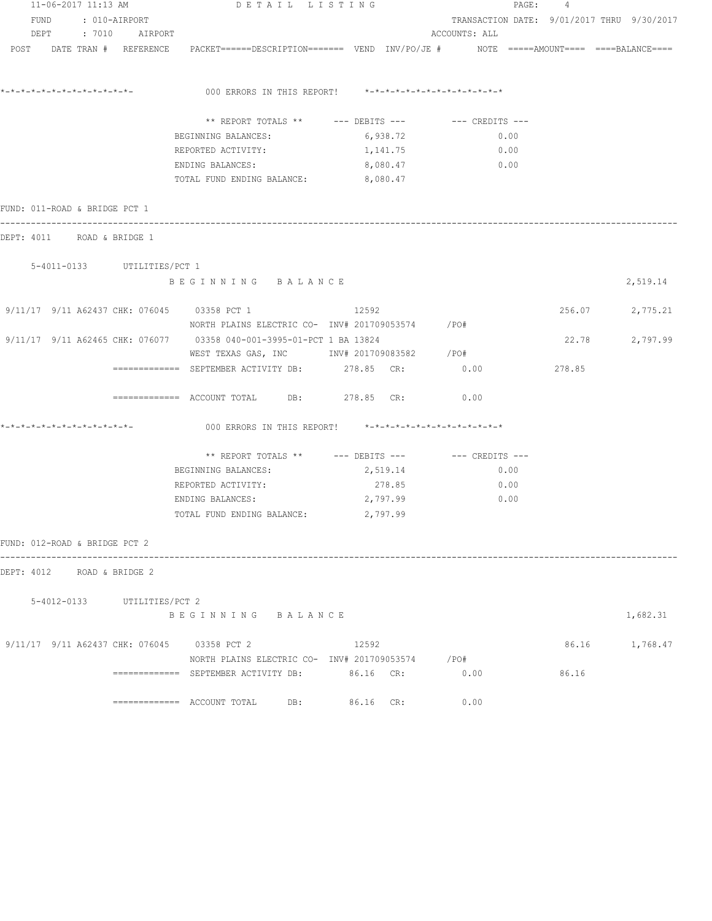| 11-06-2017 11:13 AM                                                                                             | DETAIL LISTING |                                                         |               | PAGE: 4 |        |                                            |
|-----------------------------------------------------------------------------------------------------------------|----------------|---------------------------------------------------------|---------------|---------|--------|--------------------------------------------|
| FUND : 010-AIRPORT                                                                                              |                |                                                         |               |         |        | TRANSACTION DATE: 9/01/2017 THRU 9/30/2017 |
| DEPT : 7010 AIRPORT                                                                                             |                |                                                         | ACCOUNTS: ALL |         |        |                                            |
| POST DATE TRAN # REFERENCE PACKET======DESCRIPTION======= VEND INV/PO/JE # NOTE =====AMOUNT==== ====BALANCE==== |                |                                                         |               |         |        |                                            |
|                                                                                                                 |                |                                                         |               |         |        |                                            |
| *_*_*_*_*_*_*_*_*_*_*_*_*_*_*_                                                                                  |                | 000 ERRORS IN THIS REPORT! *-*-*-*-*-*-*-*-*-*-*-*-*-*- |               |         |        |                                            |
|                                                                                                                 |                |                                                         |               |         |        |                                            |
|                                                                                                                 |                | ** REPORT TOTALS ** --- DEBITS --- -- CREDITS ---       |               |         |        |                                            |
| BEGINNING BALANCES:                                                                                             |                | 6,938.72                                                | 0.00          |         |        |                                            |
| REPORTED ACTIVITY:                                                                                              |                | 1,141.75                                                | 0.00          |         |        |                                            |
| ENDING BALANCES:                                                                                                |                | 8,080.47                                                | 0.00          |         |        |                                            |
| TOTAL FUND ENDING BALANCE: 8,080.47                                                                             |                |                                                         |               |         |        |                                            |
| FUND: 011-ROAD & BRIDGE PCT 1                                                                                   |                |                                                         |               |         |        |                                            |
| DEPT: 4011 ROAD & BRIDGE 1                                                                                      |                |                                                         |               |         |        |                                            |
|                                                                                                                 |                |                                                         |               |         |        |                                            |
| 5-4011-0133 UTILITIES/PCT 1<br>BEGINNING BALANCE                                                                |                |                                                         |               |         |        |                                            |
|                                                                                                                 |                |                                                         |               |         |        | 2,519.14                                   |
| 9/11/17 9/11 A62437 CHK: 076045 03358 PCT 1                                                                     |                | 12592                                                   |               |         |        | 256.07 2,775.21                            |
| NORTH PLAINS ELECTRIC CO- INV# 201709053574 / PO#                                                               |                |                                                         |               |         |        |                                            |
| 9/11/17 9/11 A62465 CHK: 076077 03358 040-001-3995-01-PCT 1 BA 13824                                            |                |                                                         |               |         | 22.78  | 2,797.99                                   |
|                                                                                                                 |                | WEST TEXAS GAS, INC        INV# 201709083582     /PO#   |               |         |        |                                            |
| ============ SEPTEMBER ACTIVITY DB: 278.85 CR: 0.00                                                             |                |                                                         |               |         | 278.85 |                                            |
| ============= ACCOUNT TOTAL DB: 278.85 CR:                                                                      |                |                                                         | 0.00          |         |        |                                            |
| *_*_*_*_*_*_*_*_*_*_*_*_*_*_*_                                                                                  |                | 000 ERRORS IN THIS REPORT! *-*-*-*-*-*-*-*-*-*-*-*-*-*- |               |         |        |                                            |
|                                                                                                                 |                | ** REPORT TOTALS ** --- DEBITS --- -- CREDITS ---       |               |         |        |                                            |
| BEGINNING BALANCES:                                                                                             |                | 2,519.14                                                | 0.00          |         |        |                                            |
| REPORTED ACTIVITY:                                                                                              |                | 278.85                                                  | 0.00          |         |        |                                            |
| ENDING BALANCES:                                                                                                |                | 2,797.99                                                | 0.00          |         |        |                                            |
| TOTAL FUND ENDING BALANCE: 2,797.99                                                                             |                |                                                         |               |         |        |                                            |
| FUND: 012-ROAD & BRIDGE PCT 2                                                                                   |                |                                                         |               |         |        |                                            |
| DEPT: 4012 ROAD & BRIDGE 2                                                                                      |                |                                                         |               |         |        |                                            |
|                                                                                                                 |                |                                                         |               |         |        |                                            |
| 5-4012-0133 UTILITIES/PCT 2                                                                                     |                |                                                         |               |         |        |                                            |
|                                                                                                                 |                |                                                         |               |         |        | 1,682.31                                   |
| BEGINNING BALANCE                                                                                               |                |                                                         |               |         |        |                                            |
| 9/11/17 9/11 A62437 CHK: 076045 03358 PCT 2                                                                     |                | 12592                                                   |               |         |        | 86.16 1,768.47                             |
|                                                                                                                 |                | NORTH PLAINS ELECTRIC CO- INV# 201709053574 / PO#       |               |         |        |                                            |
| ============ SEPTEMBER ACTIVITY DB: 86.16 CR: 0.00                                                              |                |                                                         |               |         | 86.16  |                                            |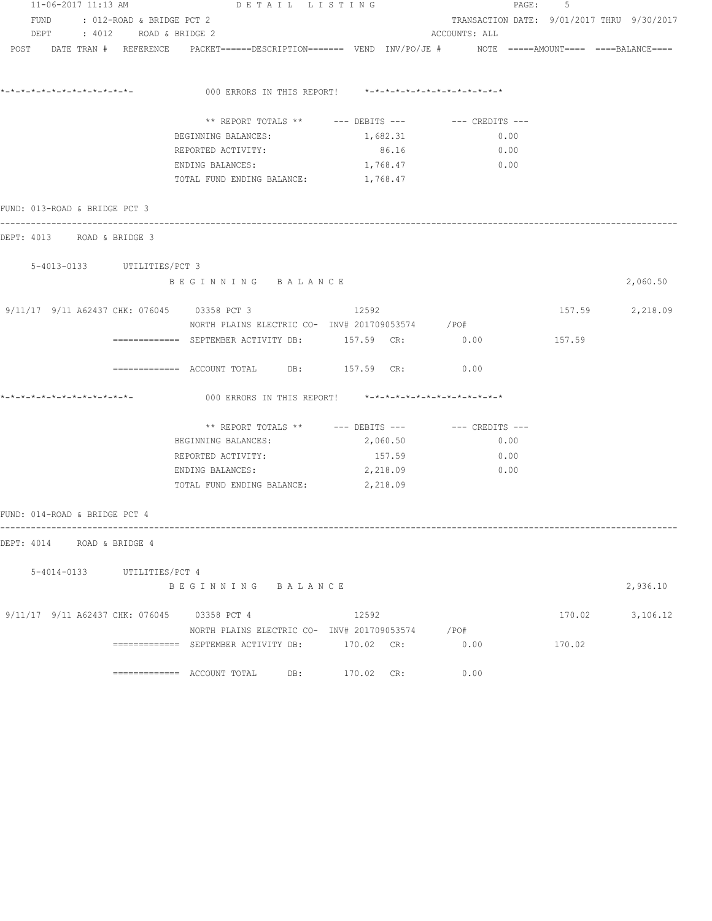| 11-06-2017 11:13 AM<br>DETAIL LISTING |  |                                |                                                                                                                 |  |                                                         |                                                        | 5<br>PAGE: |                                            |
|---------------------------------------|--|--------------------------------|-----------------------------------------------------------------------------------------------------------------|--|---------------------------------------------------------|--------------------------------------------------------|------------|--------------------------------------------|
|                                       |  | FUND : 012-ROAD & BRIDGE PCT 2 |                                                                                                                 |  |                                                         |                                                        |            | TRANSACTION DATE: 9/01/2017 THRU 9/30/2017 |
|                                       |  | DEPT : 4012 ROAD & BRIDGE 2    |                                                                                                                 |  |                                                         | ACCOUNTS: ALL                                          |            |                                            |
|                                       |  |                                | POST DATE TRAN # REFERENCE PACKET======DESCRIPTION======= VEND INV/PO/JE # NOTE =====AMOUNT==== ====BALANCE==== |  |                                                         |                                                        |            |                                            |
| *-*-*-*-*-*-*-*-*-*-*-*-*-*-          |  |                                |                                                                                                                 |  |                                                         |                                                        |            |                                            |
|                                       |  |                                |                                                                                                                 |  | 000 ERRORS IN THIS REPORT! *-*-*-*-*-*-*-*-*-*-*-*-*-*- |                                                        |            |                                            |
|                                       |  |                                |                                                                                                                 |  |                                                         | ** REPORT TOTALS ** --- DEBITS --- -- CREDITS ---      |            |                                            |
|                                       |  |                                | BEGINNING BALANCES:                                                                                             |  | 1,682.31                                                | 0.00                                                   |            |                                            |
|                                       |  |                                | REPORTED ACTIVITY:                                                                                              |  | 86.16                                                   | 0.00                                                   |            |                                            |
|                                       |  |                                | ENDING BALANCES:                                                                                                |  | 1,768.47                                                | 0.00                                                   |            |                                            |
|                                       |  |                                | TOTAL FUND ENDING BALANCE: 1,768.47                                                                             |  |                                                         |                                                        |            |                                            |
| FUND: 013-ROAD & BRIDGE PCT 3         |  |                                |                                                                                                                 |  |                                                         |                                                        |            |                                            |
| DEPT: 4013 ROAD & BRIDGE 3            |  |                                |                                                                                                                 |  |                                                         |                                                        |            |                                            |
|                                       |  | 5-4013-0133 UTILITIES/PCT 3    |                                                                                                                 |  |                                                         |                                                        |            |                                            |
|                                       |  |                                | BEGINNING BALANCE                                                                                               |  |                                                         |                                                        |            | 2,060.50                                   |
|                                       |  |                                | 9/11/17 9/11 A62437 CHK: 076045 03358 PCT 3                                                                     |  | 12592                                                   |                                                        |            | 157.59 2,218.09                            |
|                                       |  |                                | NORTH PLAINS ELECTRIC CO- INV# 201709053574 / PO#                                                               |  |                                                         |                                                        |            |                                            |
|                                       |  |                                | ============ SEPTEMBER ACTIVITY DB: 157.59 CR: 0.00                                                             |  |                                                         |                                                        | 157.59     |                                            |
|                                       |  |                                | ============= ACCOUNT TOTAL DB: 157.59 CR:                                                                      |  |                                                         | 0.00                                                   |            |                                            |
| *-*-*-*-*-*-*-*-*-*-*-*-*-*-          |  |                                |                                                                                                                 |  | 000 ERRORS IN THIS REPORT! *-*-*-*-*-*-*-*-*-*-*-*-*-*- |                                                        |            |                                            |
|                                       |  |                                |                                                                                                                 |  |                                                         | ** REPORT TOTALS ** $---$ DEBITS --- $---$ CREDITS --- |            |                                            |
|                                       |  |                                | BEGINNING BALANCES:                                                                                             |  | 2,060.50                                                | 0.00                                                   |            |                                            |
|                                       |  |                                | REPORTED ACTIVITY:                                                                                              |  | 157.59                                                  | 0.00                                                   |            |                                            |
|                                       |  |                                | ENDING BALANCES:                                                                                                |  | 2,218.09                                                | 0.00                                                   |            |                                            |
|                                       |  |                                | TOTAL FUND ENDING BALANCE: 2, 218.09                                                                            |  |                                                         |                                                        |            |                                            |
| FUND: 014-ROAD & BRIDGE PCT 4         |  |                                |                                                                                                                 |  |                                                         |                                                        |            |                                            |
| DEPT: 4014 ROAD & BRIDGE 4            |  |                                |                                                                                                                 |  |                                                         |                                                        |            |                                            |
|                                       |  |                                |                                                                                                                 |  |                                                         |                                                        |            |                                            |
|                                       |  | 5-4014-0133 UTILITIES/PCT 4    | BEGINNING BALANCE                                                                                               |  |                                                         |                                                        |            | 2,936.10                                   |
|                                       |  |                                | 9/11/17 9/11 A62437 CHK: 076045 03358 PCT 4                                                                     |  | 12592                                                   |                                                        |            | 170.02 3,106.12                            |
|                                       |  |                                | NORTH PLAINS ELECTRIC CO- INV# 201709053574 / PO#                                                               |  |                                                         |                                                        |            |                                            |
|                                       |  |                                | ============= SEPTEMBER ACTIVITY DB: 170.02 CR:                                                                 |  |                                                         | 0.00                                                   | 170.02     |                                            |
|                                       |  |                                | ============= ACCOUNT TOTAL DB: 170.02 CR:                                                                      |  |                                                         | 0.00                                                   |            |                                            |